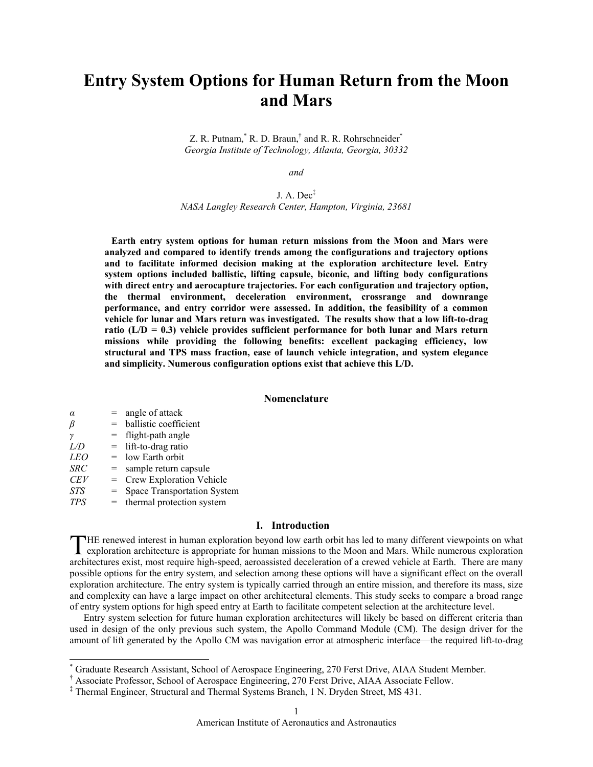# **Entry System Options for Human Return from the Moon and Mars**

Z. R. Putnam,  $*$  R. D. Braun,  $*$  and R. R. Rohrschneider $*$ *Georgia Institute of Technology, Atlanta, Georgia, 30332* 

*and* 

# J. A. Dec‡ *NASA Langley Research Center, Hampton, Virginia, 23681*

**Earth entry system options for human return missions from the Moon and Mars were analyzed and compared to identify trends among the configurations and trajectory options and to facilitate informed decision making at the exploration architecture level. Entry system options included ballistic, lifting capsule, biconic, and lifting body configurations with direct entry and aerocapture trajectories. For each configuration and trajectory option, the thermal environment, deceleration environment, crossrange and downrange performance, and entry corridor were assessed. In addition, the feasibility of a common vehicle for lunar and Mars return was investigated. The results show that a low lift-to-drag**  ratio  $(L/D = 0.3)$  vehicle provides sufficient performance for both lunar and Mars return **missions while providing the following benefits: excellent packaging efficiency, low structural and TPS mass fraction, ease of launch vehicle integration, and system elegance and simplicity. Numerous configuration options exist that achieve this L/D.** 

# **Nomenclature**

| $\alpha$   | $=$ | angle of attack                    |
|------------|-----|------------------------------------|
| ß          | $=$ | ballistic coefficient              |
| $\gamma$   | $=$ | flight-path angle                  |
| L/D        |     | $=$ lift-to-drag ratio             |
| <i>LEO</i> |     | $=$ low Earth orbit                |
| <b>SRC</b> | $=$ | sample return capsule              |
| <b>CEV</b> | $=$ | Crew Exploration Vehicle           |
| <b>STS</b> | $=$ | <b>Space Transportation System</b> |
| <b>TPS</b> | $=$ | thermal protection system          |

 $\overline{a}$ 

# **I. Introduction**

THE renewed interest in human exploration beyond low earth orbit has led to many different viewpoints on what exploration architecture is appropriate for human missions to the Moon and Mars. While numerous exploration exploration architecture is appropriate for human missions to the Moon and Mars. While numerous exploration architectures exist, most require high-speed, aeroassisted deceleration of a crewed vehicle at Earth. There are many possible options for the entry system, and selection among these options will have a significant effect on the overall exploration architecture. The entry system is typically carried through an entire mission, and therefore its mass, size and complexity can have a large impact on other architectural elements. This study seeks to compare a broad range of entry system options for high speed entry at Earth to facilitate competent selection at the architecture level.

Entry system selection for future human exploration architectures will likely be based on different criteria than used in design of the only previous such system, the Apollo Command Module (CM). The design driver for the amount of lift generated by the Apollo CM was navigation error at atmospheric interface—the required lift-to-drag

<sup>\*</sup> Graduate Research Assistant, School of Aerospace Engineering, 270 Ferst Drive, AIAA Student Member.

<sup>†</sup> Associate Professor, School of Aerospace Engineering, 270 Ferst Drive, AIAA Associate Fellow.

<sup>‡</sup> Thermal Engineer, Structural and Thermal Systems Branch, 1 N. Dryden Street, MS 431.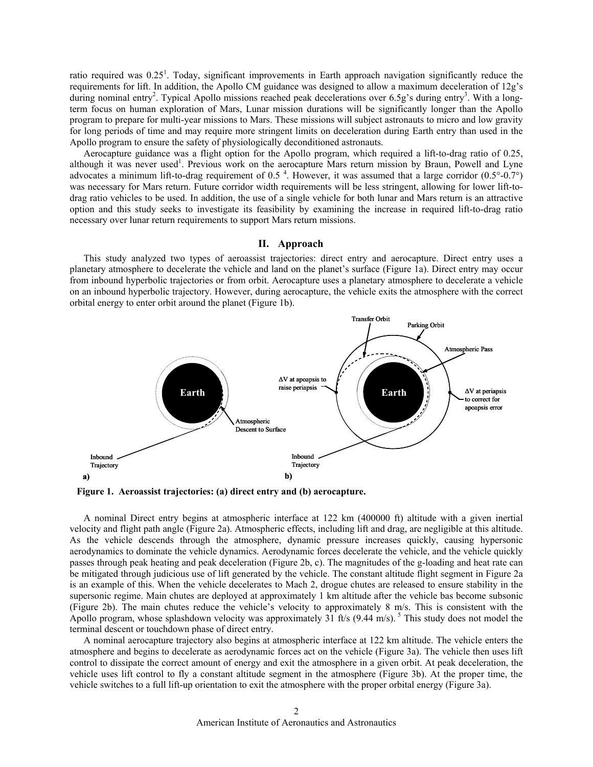ratio required was  $0.25<sup>1</sup>$ . Today, significant improvements in Earth approach navigation significantly reduce the requirements for lift. In addition, the Apollo CM guidance was designed to allow a maximum deceleration of 12g's during nominal entry<sup>2</sup>. Typical Apollo missions reached peak decelerations over 6.5g's during entry<sup>3</sup>. With a longterm focus on human exploration of Mars, Lunar mission durations will be significantly longer than the Apollo program to prepare for multi-year missions to Mars. These missions will subject astronauts to micro and low gravity for long periods of time and may require more stringent limits on deceleration during Earth entry than used in the Apollo program to ensure the safety of physiologically deconditioned astronauts.

Aerocapture guidance was a flight option for the Apollo program, which required a lift-to-drag ratio of 0.25, although it was never used<sup>1</sup>. Previous work on the aerocapture Mars return mission by Braun, Powell and Lyne advocates a minimum lift-to-drag requirement of 0.5<sup>4</sup>. However, it was assumed that a large corridor  $(0.5^{\circ}$ -0.7°) was necessary for Mars return. Future corridor width requirements will be less stringent, allowing for lower lift-todrag ratio vehicles to be used. In addition, the use of a single vehicle for both lunar and Mars return is an attractive option and this study seeks to investigate its feasibility by examining the increase in required lift-to-drag ratio necessary over lunar return requirements to support Mars return missions.

## **II. Approach**

This study analyzed two types of aeroassist trajectories: direct entry and aerocapture. Direct entry uses a planetary atmosphere to decelerate the vehicle and land on the planet's surface (Figure 1a). Direct entry may occur from inbound hyperbolic trajectories or from orbit. Aerocapture uses a planetary atmosphere to decelerate a vehicle on an inbound hyperbolic trajectory. However, during aerocapture, the vehicle exits the atmosphere with the correct orbital energy to enter orbit around the planet (Figure 1b).



**Figure 1. Aeroassist trajectories: (a) direct entry and (b) aerocapture.** 

A nominal Direct entry begins at atmospheric interface at 122 km (400000 ft) altitude with a given inertial velocity and flight path angle (Figure 2a). Atmospheric effects, including lift and drag, are negligible at this altitude. As the vehicle descends through the atmosphere, dynamic pressure increases quickly, causing hypersonic aerodynamics to dominate the vehicle dynamics. Aerodynamic forces decelerate the vehicle, and the vehicle quickly passes through peak heating and peak deceleration (Figure 2b, c). The magnitudes of the g-loading and heat rate can be mitigated through judicious use of lift generated by the vehicle. The constant altitude flight segment in Figure 2a is an example of this. When the vehicle decelerates to Mach 2, drogue chutes are released to ensure stability in the supersonic regime. Main chutes are deployed at approximately 1 km altitude after the vehicle bas become subsonic (Figure 2b). The main chutes reduce the vehicle's velocity to approximately 8 m/s. This is consistent with the Apollo program, whose splashdown velocity was approximately  $31$  ft/s (9.44 m/s). <sup>5</sup> This study does not model the terminal descent or touchdown phase of direct entry.

A nominal aerocapture trajectory also begins at atmospheric interface at 122 km altitude. The vehicle enters the atmosphere and begins to decelerate as aerodynamic forces act on the vehicle (Figure 3a). The vehicle then uses lift control to dissipate the correct amount of energy and exit the atmosphere in a given orbit. At peak deceleration, the vehicle uses lift control to fly a constant altitude segment in the atmosphere (Figure 3b). At the proper time, the vehicle switches to a full lift-up orientation to exit the atmosphere with the proper orbital energy (Figure 3a).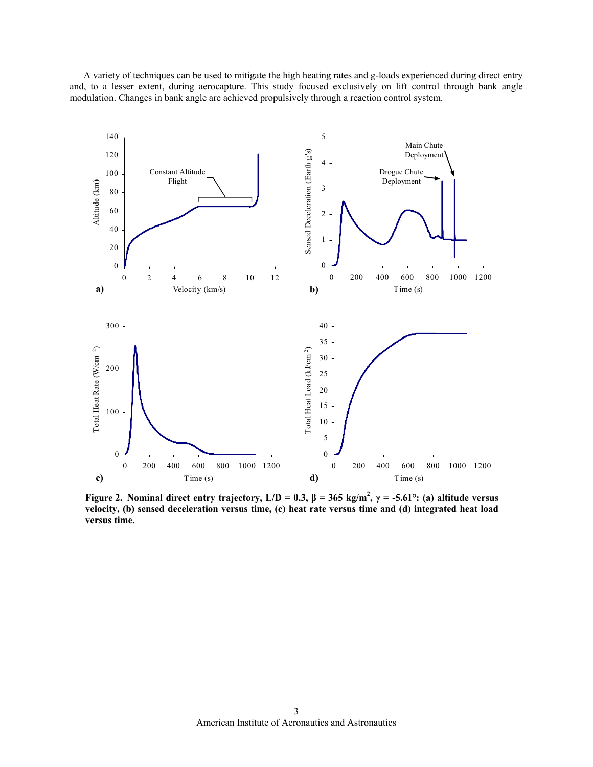A variety of techniques can be used to mitigate the high heating rates and g-loads experienced during direct entry and, to a lesser extent, during aerocapture. This study focused exclusively on lift control through bank angle modulation. Changes in bank angle are achieved propulsively through a reaction control system.



**Figure 2.** Nominal direct entry trajectory,  $L/D = 0.3$ ,  $\beta = 365$  kg/m<sup>2</sup>,  $\gamma = -5.61^{\circ}$ : (a) altitude versus **velocity, (b) sensed deceleration versus time, (c) heat rate versus time and (d) integrated heat load versus time.**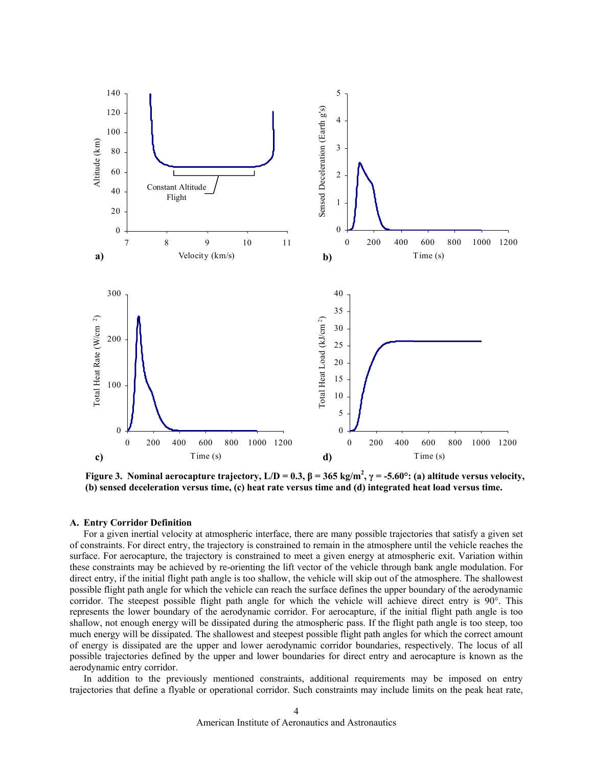

**Figure 3.** Nominal aerocapture trajectory,  $L/D = 0.3$ ,  $\beta = 365$  kg/m<sup>2</sup>,  $\gamma = -5.60^{\circ}$ : (a) altitude versus velocity, **(b) sensed deceleration versus time, (c) heat rate versus time and (d) integrated heat load versus time.** 

# **A. Entry Corridor Definition**

For a given inertial velocity at atmospheric interface, there are many possible trajectories that satisfy a given set of constraints. For direct entry, the trajectory is constrained to remain in the atmosphere until the vehicle reaches the surface. For aerocapture, the trajectory is constrained to meet a given energy at atmospheric exit. Variation within these constraints may be achieved by re-orienting the lift vector of the vehicle through bank angle modulation. For direct entry, if the initial flight path angle is too shallow, the vehicle will skip out of the atmosphere. The shallowest possible flight path angle for which the vehicle can reach the surface defines the upper boundary of the aerodynamic corridor. The steepest possible flight path angle for which the vehicle will achieve direct entry is 90°. This represents the lower boundary of the aerodynamic corridor. For aerocapture, if the initial flight path angle is too shallow, not enough energy will be dissipated during the atmospheric pass. If the flight path angle is too steep, too much energy will be dissipated. The shallowest and steepest possible flight path angles for which the correct amount of energy is dissipated are the upper and lower aerodynamic corridor boundaries, respectively. The locus of all possible trajectories defined by the upper and lower boundaries for direct entry and aerocapture is known as the aerodynamic entry corridor.

In addition to the previously mentioned constraints, additional requirements may be imposed on entry trajectories that define a flyable or operational corridor. Such constraints may include limits on the peak heat rate,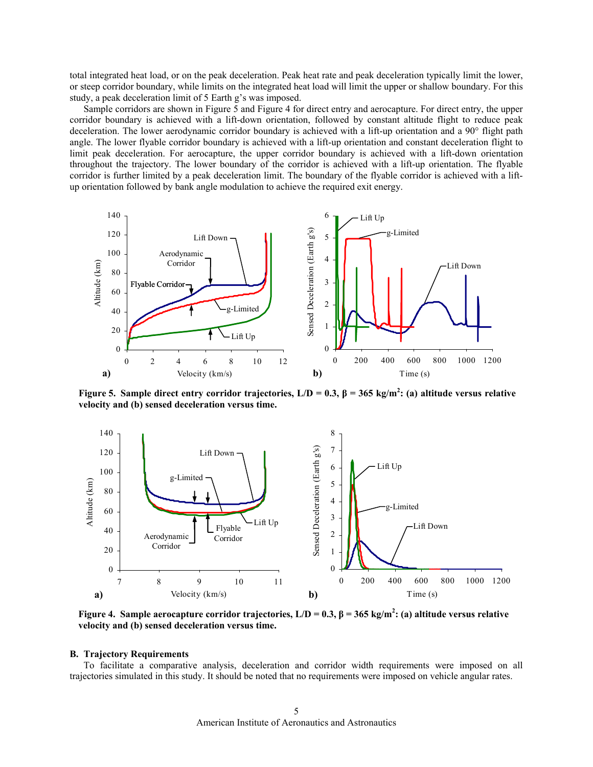total integrated heat load, or on the peak deceleration. Peak heat rate and peak deceleration typically limit the lower, or steep corridor boundary, while limits on the integrated heat load will limit the upper or shallow boundary. For this study, a peak deceleration limit of 5 Earth g's was imposed.

Sample corridors are shown in Figure 5 and Figure 4 for direct entry and aerocapture. For direct entry, the upper corridor boundary is achieved with a lift-down orientation, followed by constant altitude flight to reduce peak deceleration. The lower aerodynamic corridor boundary is achieved with a lift-up orientation and a 90° flight path angle. The lower flyable corridor boundary is achieved with a lift-up orientation and constant deceleration flight to limit peak deceleration. For aerocapture, the upper corridor boundary is achieved with a lift-down orientation throughout the trajectory. The lower boundary of the corridor is achieved with a lift-up orientation. The flyable corridor is further limited by a peak deceleration limit. The boundary of the flyable corridor is achieved with a liftup orientation followed by bank angle modulation to achieve the required exit energy.



**Figure 5.** Sample direct entry corridor trajectories,  $L/D = 0.3$ ,  $β = 365$  kg/m<sup>2</sup>: (a) altitude versus relative **velocity and (b) sensed deceleration versus time.** 



**Figure 4. Sample aerocapture corridor trajectories, L/D = 0.3, β = 365 kg/m<sup>2</sup> : (a) altitude versus relative velocity and (b) sensed deceleration versus time.** 

#### **B. Trajectory Requirements**

To facilitate a comparative analysis, deceleration and corridor width requirements were imposed on all trajectories simulated in this study. It should be noted that no requirements were imposed on vehicle angular rates.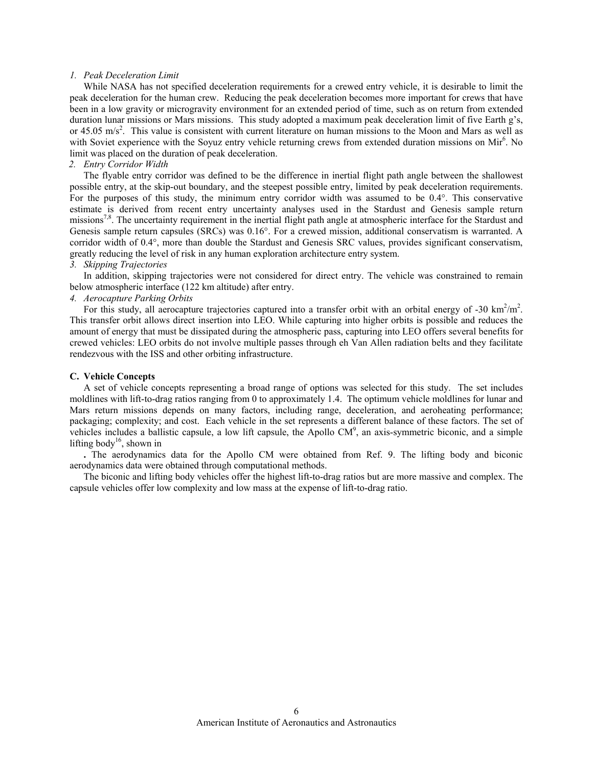## *1. Peak Deceleration Limit*

While NASA has not specified deceleration requirements for a crewed entry vehicle, it is desirable to limit the peak deceleration for the human crew. Reducing the peak deceleration becomes more important for crews that have been in a low gravity or microgravity environment for an extended period of time, such as on return from extended duration lunar missions or Mars missions. This study adopted a maximum peak deceleration limit of five Earth g's, or 45.05 m/s<sup>2</sup>. This value is consistent with current literature on human missions to the Moon and Mars as well as with Soviet experience with the Soyuz entry vehicle returning crews from extended duration missions on Mir<sup>6</sup>. No limit was placed on the duration of peak deceleration.

# *2. Entry Corridor Width*

The flyable entry corridor was defined to be the difference in inertial flight path angle between the shallowest possible entry, at the skip-out boundary, and the steepest possible entry, limited by peak deceleration requirements. For the purposes of this study, the minimum entry corridor width was assumed to be 0.4°. This conservative estimate is derived from recent entry uncertainty analyses used in the Stardust and Genesis sample return missions<sup>7,8</sup>. The uncertainty requirement in the inertial flight path angle at atmospheric interface for the Stardust and Genesis sample return capsules (SRCs) was 0.16°. For a crewed mission, additional conservatism is warranted. A corridor width of 0.4°, more than double the Stardust and Genesis SRC values, provides significant conservatism, greatly reducing the level of risk in any human exploration architecture entry system.

## *3. Skipping Trajectories*

In addition, skipping trajectories were not considered for direct entry. The vehicle was constrained to remain below atmospheric interface (122 km altitude) after entry.

# *4. Aerocapture Parking Orbits*

For this study, all aerocapture trajectories captured into a transfer orbit with an orbital energy of -30  $\text{km}^2/\text{m}^2$ . This transfer orbit allows direct insertion into LEO. While capturing into higher orbits is possible and reduces the amount of energy that must be dissipated during the atmospheric pass, capturing into LEO offers several benefits for crewed vehicles: LEO orbits do not involve multiple passes through eh Van Allen radiation belts and they facilitate rendezvous with the ISS and other orbiting infrastructure.

### **C. Vehicle Concepts**

A set of vehicle concepts representing a broad range of options was selected for this study. The set includes moldlines with lift-to-drag ratios ranging from 0 to approximately 1.4. The optimum vehicle moldlines for lunar and Mars return missions depends on many factors, including range, deceleration, and aeroheating performance; packaging; complexity; and cost. Each vehicle in the set represents a different balance of these factors. The set of vehicles includes a ballistic capsule, a low lift capsule, the Apollo  $CM<sup>9</sup>$ , an axis-symmetric biconic, and a simple lifting body<sup>16</sup>, shown in

**.** The aerodynamics data for the Apollo CM were obtained from Ref. 9. The lifting body and biconic aerodynamics data were obtained through computational methods.

The biconic and lifting body vehicles offer the highest lift-to-drag ratios but are more massive and complex. The capsule vehicles offer low complexity and low mass at the expense of lift-to-drag ratio.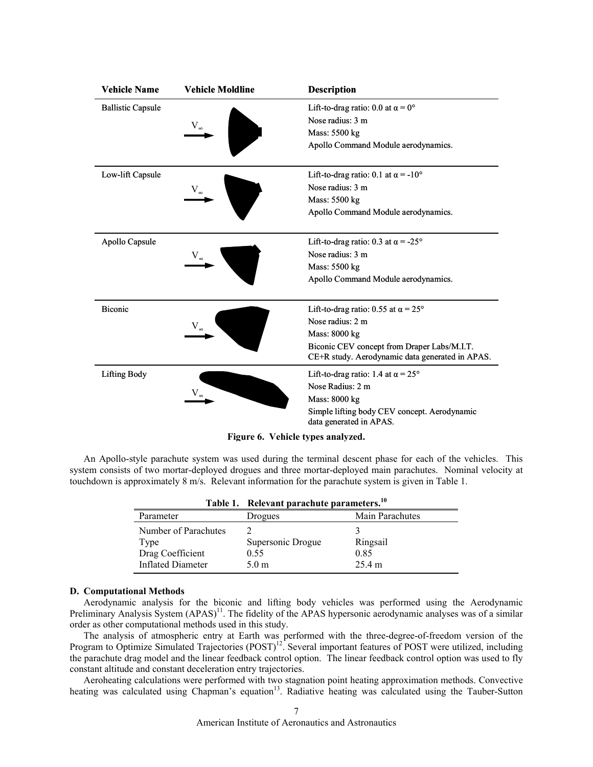| <b>Vehicle Name</b>      | <b>Vehicle Moldline</b> | <b>Description</b>                                                                             |
|--------------------------|-------------------------|------------------------------------------------------------------------------------------------|
| <b>Ballistic Capsule</b> |                         | Lift-to-drag ratio: 0.0 at $\alpha = 0^{\circ}$                                                |
|                          |                         | Nose radius: 3 m                                                                               |
|                          |                         | Mass: 5500 kg                                                                                  |
|                          |                         | Apollo Command Module aerodynamics.                                                            |
| Low-lift Capsule         |                         | Lift-to-drag ratio: 0.1 at $\alpha$ = -10°                                                     |
|                          | $V_{\infty}$            | Nose radius: 3 m                                                                               |
|                          |                         | Mass: 5500 kg                                                                                  |
|                          |                         | Apollo Command Module aerodynamics.                                                            |
| Apollo Capsule           |                         | Lift-to-drag ratio: 0.3 at $\alpha$ = -25°                                                     |
|                          |                         | Nose radius: 3 m                                                                               |
|                          |                         | Mass: 5500 kg                                                                                  |
|                          |                         | Apollo Command Module aerodynamics.                                                            |
| <b>Biconic</b>           |                         | Lift-to-drag ratio: 0.55 at $\alpha = 25^{\circ}$                                              |
|                          |                         | Nose radius: 2 m                                                                               |
|                          |                         | Mass: 8000 kg                                                                                  |
|                          |                         | Biconic CEV concept from Draper Labs/M.I.T.<br>CE+R study. Aerodynamic data generated in APAS. |
| <b>Lifting Body</b>      |                         | Lift-to-drag ratio: 1.4 at $\alpha = 25^{\circ}$                                               |
|                          |                         | Nose Radius: 2 m                                                                               |
|                          |                         | Mass: 8000 kg                                                                                  |
|                          |                         | Simple lifting body CEV concept. Aerodynamic<br>data generated in APAS.                        |
|                          |                         |                                                                                                |

**Figure 6. Vehicle types analyzed.**

An Apollo-style parachute system was used during the terminal descent phase for each of the vehicles. This system consists of two mortar-deployed drogues and three mortar-deployed main parachutes. Nominal velocity at touchdown is approximately 8 m/s. Relevant information for the parachute system is given in Table 1.

|                          | Table 1. Relevant parachute parameters. <sup>10</sup> |                 |  |
|--------------------------|-------------------------------------------------------|-----------------|--|
| Parameter                | Drogues                                               | Main Parachutes |  |
| Number of Parachutes     |                                                       |                 |  |
| Type                     | Supersonic Drogue                                     | Ringsail        |  |
| Drag Coefficient         | 0.55                                                  | 0.85            |  |
| <b>Inflated Diameter</b> | 5.0 <sub>m</sub>                                      | 25.4 m          |  |

# **D. Computational Methods**

Aerodynamic analysis for the biconic and lifting body vehicles was performed using the Aerodynamic Preliminary Analysis System (APAS)<sup>11</sup>. The fidelity of the APAS hypersonic aerodynamic analyses was of a similar order as other computational methods used in this study.

The analysis of atmospheric entry at Earth was performed with the three-degree-of-freedom version of the Program to Optimize Simulated Trajectories (POST)<sup>12</sup>. Several important features of POST were utilized, including the parachute drag model and the linear feedback control option. The linear feedback control option was used to fly constant altitude and constant deceleration entry trajectories.

Aeroheating calculations were performed with two stagnation point heating approximation methods. Convective heating was calculated using Chapman's equation<sup>13</sup>. Radiative heating was calculated using the Tauber-Sutton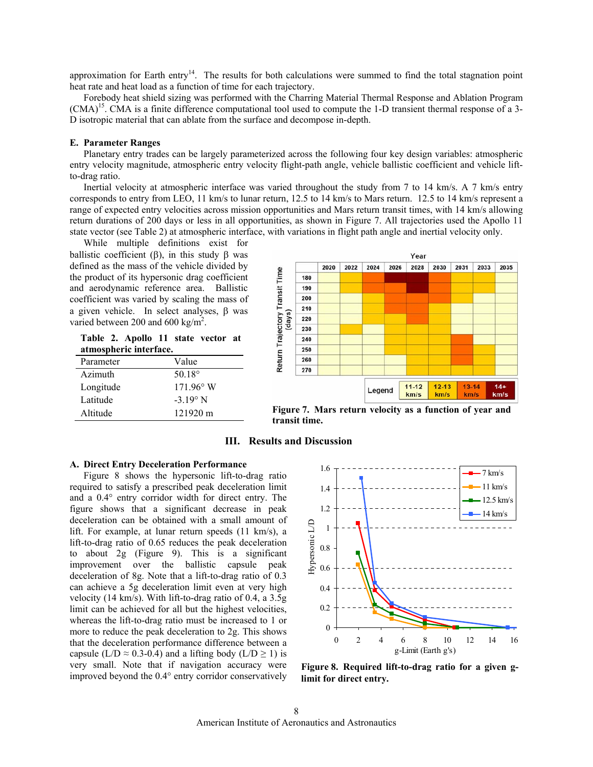approximation for Earth entry<sup>14</sup>. The results for both calculations were summed to find the total stagnation point heat rate and heat load as a function of time for each trajectory.

Forebody heat shield sizing was performed with the Charring Material Thermal Response and Ablation Program  $(CMA)^{15}$ . CMA is a finite difference computational tool used to compute the 1-D transient thermal response of a 3-D isotropic material that can ablate from the surface and decompose in-depth.

## **E. Parameter Ranges**

Planetary entry trades can be largely parameterized across the following four key design variables: atmospheric entry velocity magnitude, atmospheric entry velocity flight-path angle, vehicle ballistic coefficient and vehicle liftto-drag ratio.

 Inertial velocity at atmospheric interface was varied throughout the study from 7 to 14 km/s. A 7 km/s entry corresponds to entry from LEO, 11 km/s to lunar return, 12.5 to 14 km/s to Mars return. 12.5 to 14 km/s represent a range of expected entry velocities across mission opportunities and Mars return transit times, with 14 km/s allowing return durations of 200 days or less in all opportunities, as shown in Figure 7. All trajectories used the Apollo 11 state vector (see Table 2) at atmospheric interface, with variations in flight path angle and inertial velocity only.

While multiple definitions exist for ballistic coefficient ( $\beta$ ), in this study  $\beta$  was defined as the mass of the vehicle divided by the product of its hypersonic drag coefficient and aerodynamic reference area. Ballistic coefficient was varied by scaling the mass of a given vehicle. In select analyses, β was varied between 200 and 600 kg/m<sup>2</sup>.

**Table 2. Apollo 11 state vector at atmospheric interface.** 

| Parameter | Value              |
|-----------|--------------------|
| Azimuth   | 50.18 $^{\circ}$   |
| Longitude | $171.96^{\circ}$ W |
| Latitude  | $-3.19^{\circ}$ N  |
| Altitude  | 121920 m           |



**Figure 7. Mars return velocity as a function of year and transit time.** 

# **III. Results and Discussion**

## **A. Direct Entry Deceleration Performance**

Figure 8 shows the hypersonic lift-to-drag ratio required to satisfy a prescribed peak deceleration limit and a 0.4° entry corridor width for direct entry. The figure shows that a significant decrease in peak deceleration can be obtained with a small amount of lift. For example, at lunar return speeds (11 km/s), a lift-to-drag ratio of 0.65 reduces the peak deceleration to about 2g (Figure 9). This is a significant improvement over the ballistic capsule peak deceleration of 8g. Note that a lift-to-drag ratio of 0.3 can achieve a 5g deceleration limit even at very high velocity (14 km/s). With lift-to-drag ratio of 0.4, a 3.5g limit can be achieved for all but the highest velocities, whereas the lift-to-drag ratio must be increased to 1 or more to reduce the peak deceleration to 2g. This shows that the deceleration performance difference between a capsule (L/D  $\approx$  0.3-0.4) and a lifting body (L/D  $\geq$  1) is very small. Note that if navigation accuracy were improved beyond the 0.4° entry corridor conservatively



**Figure 8. Required lift-to-drag ratio for a given glimit for direct entry.**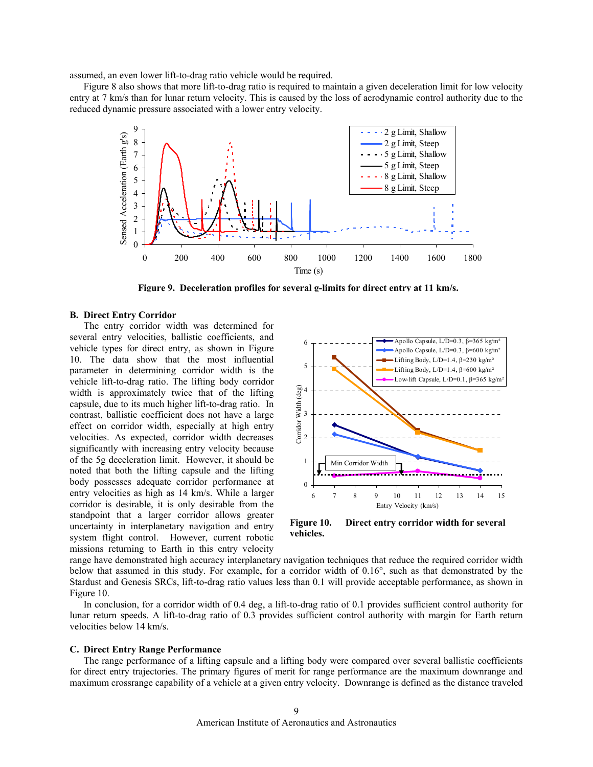assumed, an even lower lift-to-drag ratio vehicle would be required.

Figure 8 also shows that more lift-to-drag ratio is required to maintain a given deceleration limit for low velocity entry at 7 km/s than for lunar return velocity. This is caused by the loss of aerodynamic control authority due to the reduced dynamic pressure associated with a lower entry velocity.



**Figure 9. Deceleration profiles for several g-limits for direct entry at 11 km/s.**

#### **B. Direct Entry Corridor**

The entry corridor width was determined for several entry velocities, ballistic coefficients, and vehicle types for direct entry, as shown in Figure 10. The data show that the most influential parameter in determining corridor width is the vehicle lift-to-drag ratio. The lifting body corridor width is approximately twice that of the lifting capsule, due to its much higher lift-to-drag ratio. In contrast, ballistic coefficient does not have a large effect on corridor width, especially at high entry velocities. As expected, corridor width decreases significantly with increasing entry velocity because of the 5g deceleration limit. However, it should be noted that both the lifting capsule and the lifting body possesses adequate corridor performance at entry velocities as high as 14 km/s. While a larger corridor is desirable, it is only desirable from the standpoint that a larger corridor allows greater uncertainty in interplanetary navigation and entry system flight control. However, current robotic missions returning to Earth in this entry velocity



**Figure 10. Direct entry corridor width for several vehicles.**

range have demonstrated high accuracy interplanetary navigation techniques that reduce the required corridor width below that assumed in this study. For example, for a corridor width of 0.16°, such as that demonstrated by the Stardust and Genesis SRCs, lift-to-drag ratio values less than 0.1 will provide acceptable performance, as shown in Figure 10.

In conclusion, for a corridor width of 0.4 deg, a lift-to-drag ratio of 0.1 provides sufficient control authority for lunar return speeds. A lift-to-drag ratio of 0.3 provides sufficient control authority with margin for Earth return velocities below 14 km/s.

# **C. Direct Entry Range Performance**

The range performance of a lifting capsule and a lifting body were compared over several ballistic coefficients for direct entry trajectories. The primary figures of merit for range performance are the maximum downrange and maximum crossrange capability of a vehicle at a given entry velocity. Downrange is defined as the distance traveled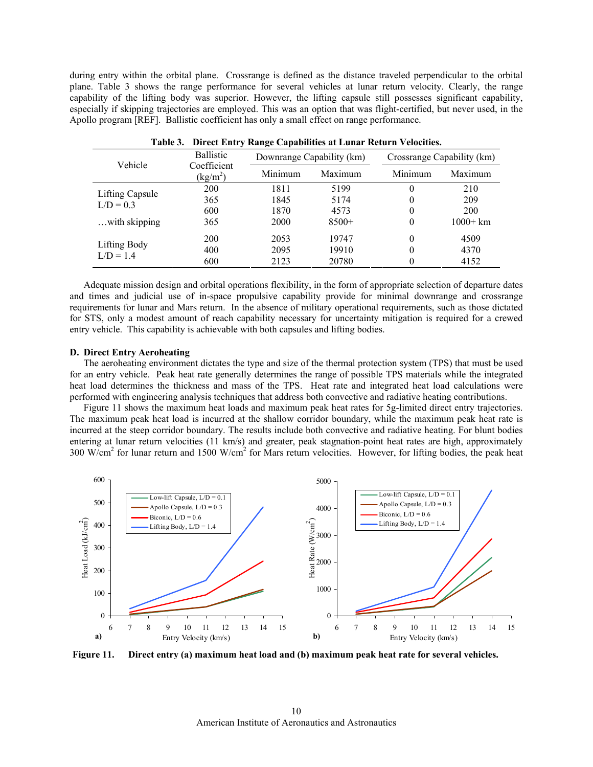during entry within the orbital plane. Crossrange is defined as the distance traveled perpendicular to the orbital plane. Table 3 shows the range performance for several vehicles at lunar return velocity. Clearly, the range capability of the lifting body was superior. However, the lifting capsule still possesses significant capability, especially if skipping trajectories are employed. This was an option that was flight-certified, but never used, in the Apollo program [REF]. Ballistic coefficient has only a small effect on range performance.

| Vehicle                        | <b>Ballistic</b>                 |         | Downrange Capability (km) | Crossrange Capability (km) |             |  |
|--------------------------------|----------------------------------|---------|---------------------------|----------------------------|-------------|--|
|                                | Coefficient<br>$\text{(kg/m}^2)$ | Minimum | Maximum                   | Minimum                    | Maximum     |  |
| Lifting Capsule<br>$L/D = 0.3$ | 200                              | 1811    | 5199                      | 0                          | 210         |  |
|                                | 365                              | 1845    | 5174                      | 0                          | 209         |  |
|                                | 600                              | 1870    | 4573                      | 0                          | 200         |  |
| $\dots$ with skipping          | 365                              | 2000    | $8500+$                   | 0                          | $1000 + km$ |  |
| Lifting Body<br>$L/D = 1.4$    | 200                              | 2053    | 19747                     | 0                          | 4509        |  |
|                                | 400                              | 2095    | 19910                     | 0                          | 4370        |  |
|                                | 600                              | 2123    | 20780                     | 0                          | 4152        |  |

| Table 3. Direct Entry Range Capabilities at Lunar Return Velocities. |  |  |  |
|----------------------------------------------------------------------|--|--|--|
|                                                                      |  |  |  |

Adequate mission design and orbital operations flexibility, in the form of appropriate selection of departure dates and times and judicial use of in-space propulsive capability provide for minimal downrange and crossrange requirements for lunar and Mars return. In the absence of military operational requirements, such as those dictated for STS, only a modest amount of reach capability necessary for uncertainty mitigation is required for a crewed entry vehicle. This capability is achievable with both capsules and lifting bodies.

## **D. Direct Entry Aeroheating**

The aeroheating environment dictates the type and size of the thermal protection system (TPS) that must be used for an entry vehicle. Peak heat rate generally determines the range of possible TPS materials while the integrated heat load determines the thickness and mass of the TPS. Heat rate and integrated heat load calculations were performed with engineering analysis techniques that address both convective and radiative heating contributions.

Figure 11 shows the maximum heat loads and maximum peak heat rates for 5g-limited direct entry trajectories. The maximum peak heat load is incurred at the shallow corridor boundary, while the maximum peak heat rate is incurred at the steep corridor boundary. The results include both convective and radiative heating. For blunt bodies entering at lunar return velocities (11 km/s) and greater, peak stagnation-point heat rates are high, approximately 300 W/cm<sup>2</sup> for lunar return and 1500 W/cm<sup>2</sup> for Mars return velocities. However, for lifting bodies, the peak heat



**Figure 11. Direct entry (a) maximum heat load and (b) maximum peak heat rate for several vehicles.**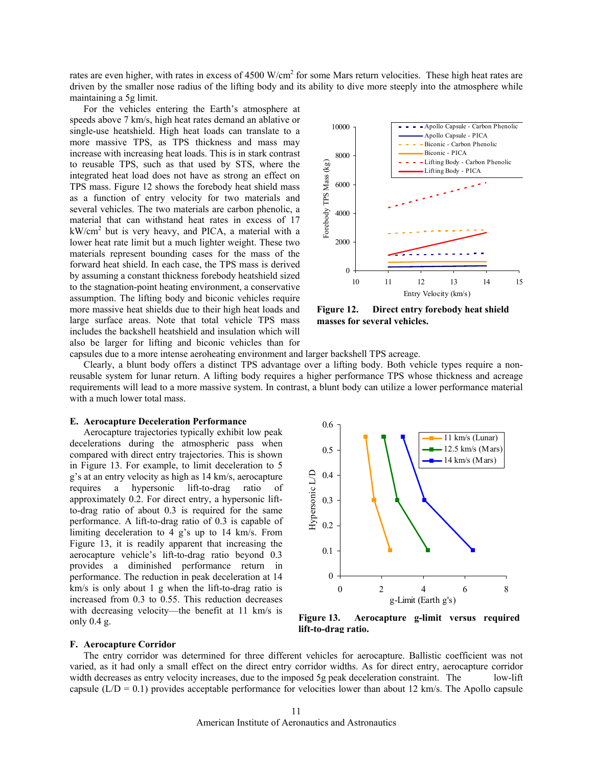rates are even higher, with rates in excess of 4500 W/cm<sup>2</sup> for some Mars return velocities. These high heat rates are driven by the smaller nose radius of the lifting body and its ability to dive more steeply into the atmosphere while maintaining a 5g limit.

For the vehicles entering the Earth's atmosphere at speeds above 7 km/s, high heat rates demand an ablative or single-use heatshield. High heat loads can translate to a more massive TPS, as TPS thickness and mass may increase with increasing heat loads. This is in stark contrast to reusable TPS, such as that used by STS, where the integrated heat load does not have as strong an effect on TPS mass. Figure 12 shows the forebody heat shield mass as a function of entry velocity for two materials and several vehicles. The two materials are carbon phenolic, a material that can withstand heat rates in excess of 17  $kW/cm<sup>2</sup>$  but is very heavy, and PICA, a material with a lower heat rate limit but a much lighter weight. These two materials represent bounding cases for the mass of the forward heat shield. In each case, the TPS mass is derived by assuming a constant thickness forebody heatshield sized to the stagnation-point heating environment, a conservative assumption. The lifting body and biconic vehicles require more massive heat shields due to their high heat loads and large surface areas. Note that total vehicle TPS mass includes the backshell heatshield and insulation which will also be larger for lifting and biconic vehicles than for



**Figure 12. Direct entry forebody heat shield masses for several vehicles.** 

capsules due to a more intense aeroheating environment and larger backshell TPS acreage.

Clearly, a blunt body offers a distinct TPS advantage over a lifting body. Both vehicle types require a nonreusable system for lunar return. A lifting body requires a higher performance TPS whose thickness and acreage requirements will lead to a more massive system. In contrast, a blunt body can utilize a lower performance material with a much lower total mass.

# **E. Aerocapture Deceleration Performance**

Aerocapture trajectories typically exhibit low peak decelerations during the atmospheric pass when compared with direct entry trajectories. This is shown in Figure 13. For example, to limit deceleration to 5 g's at an entry velocity as high as 14 km/s, aerocapture requires a hypersonic lift-to-drag ratio of approximately 0.2. For direct entry, a hypersonic liftto-drag ratio of about 0.3 is required for the same performance. A lift-to-drag ratio of 0.3 is capable of limiting deceleration to 4 g's up to 14 km/s. From Figure 13, it is readily apparent that increasing the aerocapture vehicle's lift-to-drag ratio beyond 0.3 provides a diminished performance return in performance. The reduction in peak deceleration at 14 km/s is only about 1 g when the lift-to-drag ratio is increased from 0.3 to 0.55. This reduction decreases with decreasing velocity—the benefit at 11 km/s is only 0.4 g.



**Figure 13. Aerocapture g-limit versus required lift-to-drag ratio.**

# **F. Aerocapture Corridor**

The entry corridor was determined for three different vehicles for aerocapture. Ballistic coefficient was not varied, as it had only a small effect on the direct entry corridor widths. As for direct entry, aerocapture corridor width decreases as entry velocity increases, due to the imposed 5g peak deceleration constraint. The low-lift capsule ( $L/D = 0.1$ ) provides acceptable performance for velocities lower than about 12 km/s. The Apollo capsule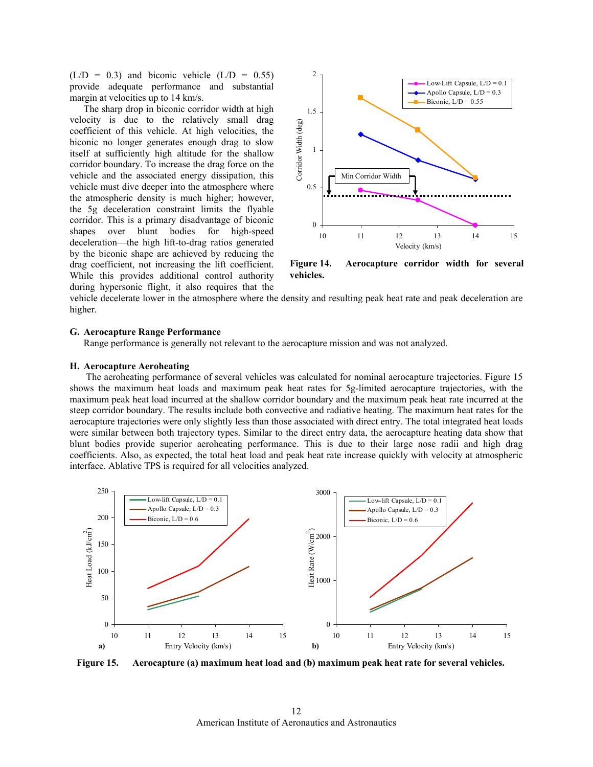$(L/D = 0.3)$  and biconic vehicle  $(L/D = 0.55)$ provide adequate performance and substantial margin at velocities up to 14 km/s.

The sharp drop in biconic corridor width at high velocity is due to the relatively small drag coefficient of this vehicle. At high velocities, the biconic no longer generates enough drag to slow itself at sufficiently high altitude for the shallow corridor boundary. To increase the drag force on the vehicle and the associated energy dissipation, this vehicle must dive deeper into the atmosphere where the atmospheric density is much higher; however, the 5g deceleration constraint limits the flyable corridor. This is a primary disadvantage of biconic shapes over blunt bodies for high-speed deceleration—the high lift-to-drag ratios generated by the biconic shape are achieved by reducing the drag coefficient, not increasing the lift coefficient. While this provides additional control authority during hypersonic flight, it also requires that the



**Figure 14. Aerocapture corridor width for several vehicles.** 

vehicle decelerate lower in the atmosphere where the density and resulting peak heat rate and peak deceleration are higher.

## **G. Aerocapture Range Performance**

Range performance is generally not relevant to the aerocapture mission and was not analyzed.

## **H. Aerocapture Aeroheating**

 The aeroheating performance of several vehicles was calculated for nominal aerocapture trajectories. Figure 15 shows the maximum heat loads and maximum peak heat rates for 5g-limited aerocapture trajectories, with the maximum peak heat load incurred at the shallow corridor boundary and the maximum peak heat rate incurred at the steep corridor boundary. The results include both convective and radiative heating. The maximum heat rates for the aerocapture trajectories were only slightly less than those associated with direct entry. The total integrated heat loads were similar between both trajectory types. Similar to the direct entry data, the aerocapture heating data show that blunt bodies provide superior aeroheating performance. This is due to their large nose radii and high drag coefficients. Also, as expected, the total heat load and peak heat rate increase quickly with velocity at atmospheric interface. Ablative TPS is required for all velocities analyzed.



**Figure 15. Aerocapture (a) maximum heat load and (b) maximum peak heat rate for several vehicles.**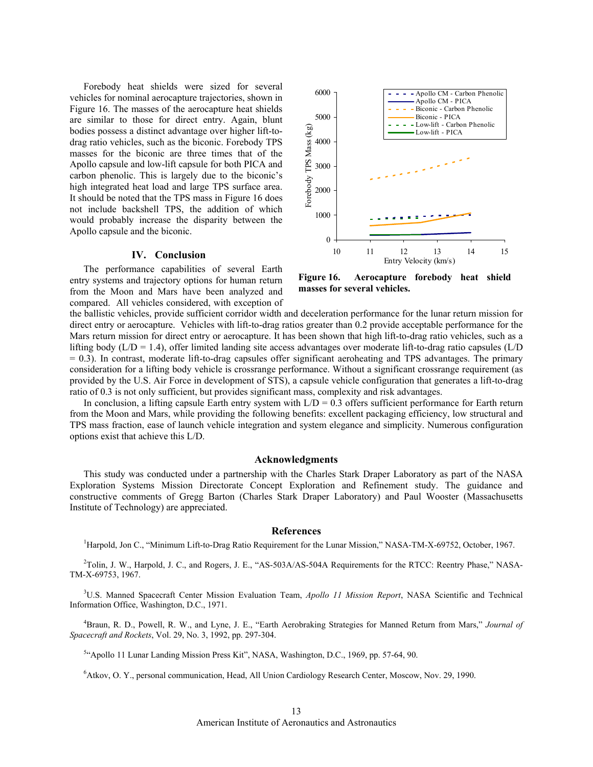Forebody heat shields were sized for several vehicles for nominal aerocapture trajectories, shown in Figure 16. The masses of the aerocapture heat shields are similar to those for direct entry. Again, blunt bodies possess a distinct advantage over higher lift-todrag ratio vehicles, such as the biconic. Forebody TPS masses for the biconic are three times that of the Apollo capsule and low-lift capsule for both PICA and carbon phenolic. This is largely due to the biconic's high integrated heat load and large TPS surface area. It should be noted that the TPS mass in Figure 16 does not include backshell TPS, the addition of which would probably increase the disparity between the Apollo capsule and the biconic.

## **IV. Conclusion**

The performance capabilities of several Earth entry systems and trajectory options for human return from the Moon and Mars have been analyzed and compared. All vehicles considered, with exception of



**Figure 16. Aerocapture forebody heat shield masses for several vehicles.**

the ballistic vehicles, provide sufficient corridor width and deceleration performance for the lunar return mission for direct entry or aerocapture. Vehicles with lift-to-drag ratios greater than 0.2 provide acceptable performance for the Mars return mission for direct entry or aerocapture. It has been shown that high lift-to-drag ratio vehicles, such as a lifting body ( $L/D = 1.4$ ), offer limited landing site access advantages over moderate lift-to-drag ratio capsules ( $L/D$  $= 0.3$ ). In contrast, moderate lift-to-drag capsules offer significant aeroheating and TPS advantages. The primary consideration for a lifting body vehicle is crossrange performance. Without a significant crossrange requirement (as provided by the U.S. Air Force in development of STS), a capsule vehicle configuration that generates a lift-to-drag ratio of 0.3 is not only sufficient, but provides significant mass, complexity and risk advantages.

In conclusion, a lifting capsule Earth entry system with  $L/D = 0.3$  offers sufficient performance for Earth return from the Moon and Mars, while providing the following benefits: excellent packaging efficiency, low structural and TPS mass fraction, ease of launch vehicle integration and system elegance and simplicity. Numerous configuration options exist that achieve this L/D.

#### **Acknowledgments**

This study was conducted under a partnership with the Charles Stark Draper Laboratory as part of the NASA Exploration Systems Mission Directorate Concept Exploration and Refinement study. The guidance and constructive comments of Gregg Barton (Charles Stark Draper Laboratory) and Paul Wooster (Massachusetts Institute of Technology) are appreciated.

#### **References**

<sup>1</sup>Harpold, Jon C., "Minimum Lift-to-Drag Ratio Requirement for the Lunar Mission," NASA-TM-X-69752, October, 1967.

<sup>2</sup>Tolin, J. W., Harpold, J. C., and Rogers, J. E., "AS-503A/AS-504A Requirements for the RTCC: Reentry Phase," NASA-TM-X-69753, 1967.

3 U.S. Manned Spacecraft Center Mission Evaluation Team, *Apollo 11 Mission Report*, NASA Scientific and Technical Information Office, Washington, D.C., 1971.

4 Braun, R. D., Powell, R. W., and Lyne, J. E., "Earth Aerobraking Strategies for Manned Return from Mars," *Journal of Spacecraft and Rockets*, Vol. 29, No. 3, 1992, pp. 297-304.

<sup>5</sup>"Apollo 11 Lunar Landing Mission Press Kit", NASA, Washington, D.C., 1969, pp. 57-64, 90.

6 Atkov, O. Y., personal communication, Head, All Union Cardiology Research Center, Moscow, Nov. 29, 1990.